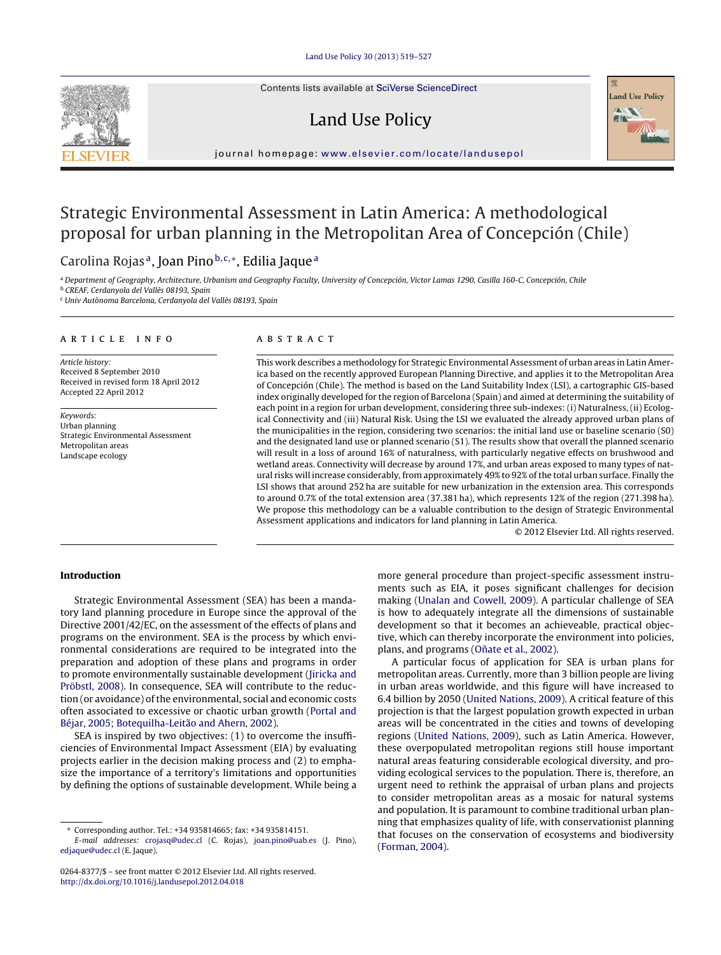Contents lists available at SciVerse [ScienceDirect](http://www.sciencedirect.com/science/journal/02648377)

## Land Use Policy



jour nal homepage: [www.elsevier.com/locate/landusepol](http://www.elsevier.com/locate/landusepol)

# Strategic Environmental Assessment in Latin America: A methodological proposal for urban planning in the Metropolitan Area of Concepción (Chile)

### Carolina Rojas<sup>a</sup>, Joan Pino  $b,c,*$ , Edilia Jaque<sup>a</sup>

a Department of Geography, Architecture, Urbanism and Geography Faculty, University of Concepción, Victor Lamas 1290, Casilla 160-C, Concepción, Chile <sup>b</sup> CREAF, Cerdanyola del Vallès 08193, Spain

<sup>c</sup> Univ Autònoma Barcelona, Cerdanyola del Vallès 08193, Spain

#### a r t i c l e i n f o

Article history: Received 8 September 2010 Received in revised form 18 April 2012 Accepted 22 April 2012

Keywords: Urban planning Strategic Environmental Assessment Metropolitan areas Landscape ecology

#### A B S T R A C T

This work describes a methodology for Strategic Environmental Assessment of urban areas in Latin America based on the recently approved European Planning Directive, and applies it to the Metropolitan Area of Concepción (Chile). The method is based on the Land Suitability Index (LSI), a cartographic GIS-based index originally developed for the region of Barcelona (Spain) and aimed at determining the suitability of each point in a region for urban development, considering three sub-indexes: (i) Naturalness, (ii) Ecological Connectivity and (iii) Natural Risk. Using the LSI we evaluated the already approved urban plans of the municipalities in the region, considering two scenarios: the initial land use or baseline scenario (S0) and the designated land use or planned scenario (S1). The results show that overall the planned scenario will result in a loss of around 16% of naturalness, with particularly negative effects on brushwood and wetland areas. Connectivity will decrease by around 17%, and urban areas exposed to many types of natural risks will increase considerably, from approximately 49% to 92% ofthe total urban surface. Finally the LSI shows that around 252 ha are suitable for new urbanization in the extension area. This corresponds to around 0.7% of the total extension area (37.381 ha), which represents 12% of the region (271.398 ha). We propose this methodology can be a valuable contribution to the design of Strategic Environmental Assessment applications and indicators for land planning in Latin America.

© 2012 Elsevier Ltd. All rights reserved.

#### **Introduction**

Strategic Environmental Assessment (SEA) has been a mandatory land planning procedure in Europe since the approval of the Directive 2001/42/EC, on the assessment of the effects of plans and programs on the environment. SEA is the process by which environmental considerations are required to be integrated into the preparation and adoption of these plans and programs in order to promote environmentally sustainable development [\(Jiricka](#page--1-0) [and](#page--1-0) [Pröbstl,](#page--1-0) [2008\).](#page--1-0) In consequence, SEA will contribute to the reduction (or avoidance) of the environmental, social and economic costs often associated to excessive or chaotic urban growth ([Portal](#page--1-0) [and](#page--1-0) [Béjar,](#page--1-0) [2005;](#page--1-0) [Botequilha-Leitão](#page--1-0) [and](#page--1-0) [Ahern,](#page--1-0) [2002\).](#page--1-0)

SEA is inspired by two objectives: (1) to overcome the insufficiencies of Environmental Impact Assessment (EIA) by evaluating projects earlier in the decision making process and (2) to emphasize the importance of a territory's limitations and opportunities by defining the options of sustainable development. While being a

more general procedure than project-specific assessment instruments such as EIA, it poses significant challenges for decision making ([Unalan](#page--1-0) [and](#page--1-0) [Cowell,](#page--1-0) [2009\).](#page--1-0) A particular challenge of SEA is how to adequately integrate all the dimensions of sustainable development so that it becomes an achieveable, practical objective, which can thereby incorporate the environment into policies, plans, and programs (Oñate et [al.,](#page--1-0) [2002\).](#page--1-0)

A particular focus of application for SEA is urban plans for metropolitan areas. Currently, more than 3 billion people are living in urban areas worldwide, and this figure will have increased to 6.4 billion by 2050 ([United](#page--1-0) [Nations,](#page--1-0) [2009\).](#page--1-0) A critical feature of this projection is that the largest population growth expected in urban areas will be concentrated in the cities and towns of developing regions [\(United](#page--1-0) [Nations,](#page--1-0) [2009\),](#page--1-0) such as Latin America. However, these overpopulated metropolitan regions still house important natural areas featuring considerable ecological diversity, and providing ecological services to the population. There is, therefore, an urgent need to rethink the appraisal of urban plans and projects to consider metropolitan areas as a mosaic for natural systems and population. It is paramount to combine traditional urban planning that emphasizes quality of life, with conservationist planning that focuses on the conservation of ecosystems and biodiversity [\(Forman,](#page--1-0) [2004\).](#page--1-0)

<sup>∗</sup> Corresponding author. Tel.: +34 935814665; fax: +34 935814151.

E-mail addresses: [crojasq@udec.cl](mailto:crojasq@udec.cl) (C. Rojas), [joan.pino@uab.es](mailto:joan.pino@uab.es) (J. Pino), [edjaque@udec.cl](mailto:edjaque@udec.cl) (E. Jaque).

<sup>0264-8377/\$</sup> – see front matter © 2012 Elsevier Ltd. All rights reserved. [http://dx.doi.org/10.1016/j.landusepol.2012.04.018](dx.doi.org/10.1016/j.landusepol.2012.04.018)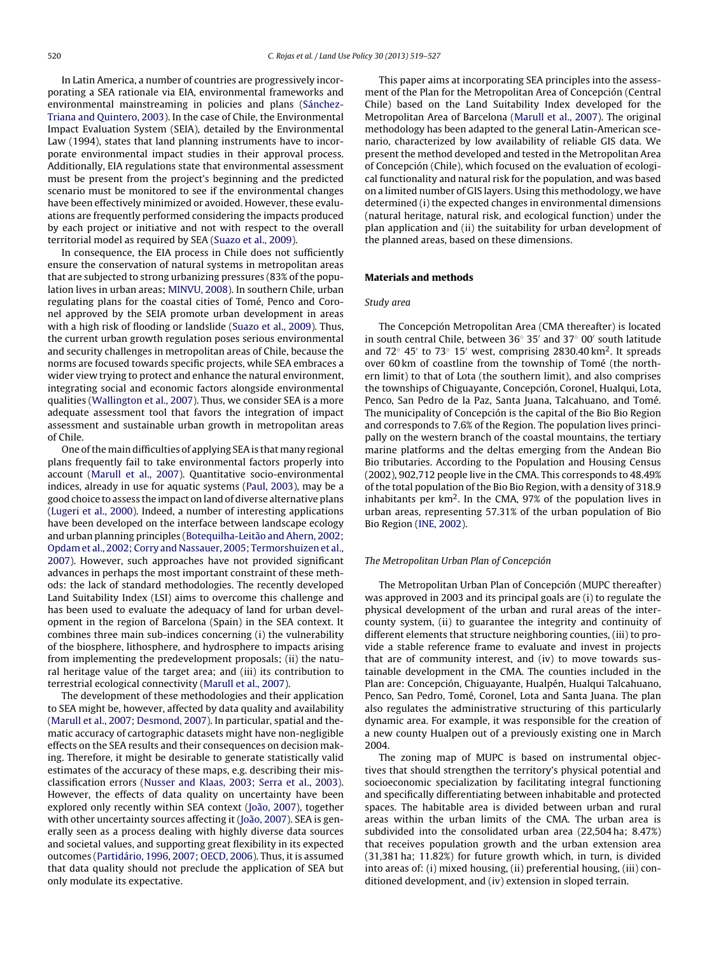In Latin America, a number of countries are progressively incorporating a SEA rationale via EIA, environmental frameworks and environmental mainstreaming in policies and plans ([Sánchez-](#page--1-0)Triana [and](#page--1-0) [Quintero,](#page--1-0) [2003\).](#page--1-0) In the case of Chile, the Environmental Impact Evaluation System (SEIA), detailed by the Environmental Law (1994), states that land planning instruments have to incorporate environmental impact studies in their approval process. Additionally, EIA regulations state that environmental assessment must be present from the project's beginning and the predicted scenario must be monitored to see if the environmental changes have been effectively minimized or avoided. However, these evaluations are frequently performed considering the impacts produced by each project or initiative and not with respect to the overall territorial model as required by SEA [\(Suazo](#page--1-0) et [al.,](#page--1-0) [2009\).](#page--1-0)

In consequence, the EIA process in Chile does not sufficiently ensure the conservation of natural systems in metropolitan areas that are subjected to strong urbanizing pressures (83% of the population lives in urban areas; [MINVU,](#page--1-0) [2008\).](#page--1-0) In southern Chile, urban regulating plans for the coastal cities of Tomé, Penco and Coronel approved by the SEIA promote urban development in areas with a high risk of flooding or landslide ([Suazo](#page--1-0) et [al.,](#page--1-0) [2009\).](#page--1-0) Thus, the current urban growth regulation poses serious environmental and security challenges in metropolitan areas of Chile, because the norms are focused towards specific projects, while SEA embraces a wider view trying to protect and enhance the natural environment, integrating social and economic factors alongside environmental qualities ([Wallington](#page--1-0) et [al.,](#page--1-0) [2007\).](#page--1-0) Thus, we consider SEA is a more adequate assessment tool that favors the integration of impact assessment and sustainable urban growth in metropolitan areas of Chile.

One ofthe main difficulties of applying SEAis that many regional plans frequently fail to take environmental factors properly into account ([Marull](#page--1-0) et [al.,](#page--1-0) [2007\).](#page--1-0) Quantitative socio-environmental indices, already in use for aquatic systems ([Paul,](#page--1-0) [2003\),](#page--1-0) may be a good choice to assess the impact on land of diverse alternative plans ([Lugeri](#page--1-0) et [al.,](#page--1-0) [2000\).](#page--1-0) Indeed, a number of interesting applications have been developed on the interface between landscape ecology and urban planning principles ([Botequilha-Leitão](#page--1-0) [and](#page--1-0) [Ahern,](#page--1-0) [2002;](#page--1-0) [Opdam](#page--1-0) et [al.,](#page--1-0) [2002;](#page--1-0) [Corry](#page--1-0) [and](#page--1-0) [Nassauer,](#page--1-0) [2005;](#page--1-0) [Termorshuizen](#page--1-0) et [al.,](#page--1-0) [2007\).](#page--1-0) However, such approaches have not provided significant advances in perhaps the most important constraint of these methods: the lack of standard methodologies. The recently developed Land Suitability Index (LSI) aims to overcome this challenge and has been used to evaluate the adequacy of land for urban development in the region of Barcelona (Spain) in the SEA context. It combines three main sub-indices concerning (i) the vulnerability of the biosphere, lithosphere, and hydrosphere to impacts arising from implementing the predevelopment proposals; (ii) the natural heritage value of the target area; and (iii) its contribution to terrestrial ecological connectivity [\(Marull](#page--1-0) et [al.,](#page--1-0) [2007\).](#page--1-0)

The development of these methodologies and their application to SEA might be, however, affected by data quality and availability ([Marull](#page--1-0) et [al.,](#page--1-0) [2007;](#page--1-0) [Desmond,](#page--1-0) [2007\).](#page--1-0) In particular, spatial and thematic accuracy of cartographic datasets might have non-negligible effects on the SEA results and their consequences on decision making. Therefore, it might be desirable to generate statistically valid estimates of the accuracy of these maps, e.g. describing their misclassification errors ([Nusser](#page--1-0) [and](#page--1-0) [Klaas,](#page--1-0) [2003;](#page--1-0) [Serra](#page--1-0) et [al.,](#page--1-0) [2003\).](#page--1-0) However, the effects of data quality on uncertainty have been explored only recently within SEA context ([João,](#page--1-0) [2007\),](#page--1-0) together with other uncertainty sources affecting it ([João,](#page--1-0) [2007\).](#page--1-0) SEA is generally seen as a process dealing with highly diverse data sources and societal values, and supporting great flexibility in its expected outcomes ([Partidário,](#page--1-0) [1996,](#page--1-0) [2007;](#page--1-0) [OECD,](#page--1-0) [2006\).](#page--1-0) Thus, it is assumed that data quality should not preclude the application of SEA but only modulate its expectative.

This paper aims at incorporating SEA principles into the assessment of the Plan for the Metropolitan Area of Concepción (Central Chile) based on the Land Suitability Index developed for the Metropolitan Area of Barcelona [\(Marull](#page--1-0) et [al.,](#page--1-0) [2007\).](#page--1-0) The original methodology has been adapted to the general Latin-American scenario, characterized by low availability of reliable GIS data. We present the method developed and tested in the Metropolitan Area of Concepción (Chile), which focused on the evaluation of ecological functionality and natural risk for the population, and was based on a limited number of GIS layers. Using this methodology, we have determined (i) the expected changes in environmental dimensions (natural heritage, natural risk, and ecological function) under the plan application and (ii) the suitability for urban development of the planned areas, based on these dimensions.

#### **Materials and methods**

#### Study area

The Concepción Metropolitan Area (CMA thereafter) is located in south central Chile, between 36° 35' and 37° 00' south latitude and  $72°$  45′ to  $73°$  15′ west, comprising 2830.40 km<sup>2</sup>. It spreads over 60 km of coastline from the township of Tomé (the northern limit) to that of Lota (the southern limit), and also comprises the townships of Chiguayante, Concepción, Coronel, Hualqui, Lota, Penco, San Pedro de la Paz, Santa Juana, Talcahuano, and Tomé. The municipality of Concepción is the capital of the Bio Bio Region and corresponds to 7.6% of the Region. The population lives principally on the western branch of the coastal mountains, the tertiary marine platforms and the deltas emerging from the Andean Bio Bio tributaries. According to the Population and Housing Census (2002), 902,712 people live in the CMA. This corresponds to 48.49% of the total population of the Bio Bio Region, with a density of 318.9 inhabitants per  $km^2$ . In the CMA, 97% of the population lives in urban areas, representing 57.31% of the urban population of Bio Bio Region [\(INE,](#page--1-0) [2002\).](#page--1-0)

#### The Metropolitan Urban Plan of Concepción

The Metropolitan Urban Plan of Concepción (MUPC thereafter) was approved in 2003 and its principal goals are (i) to regulate the physical development of the urban and rural areas of the intercounty system, (ii) to guarantee the integrity and continuity of different elements that structure neighboring counties, (iii) to provide a stable reference frame to evaluate and invest in projects that are of community interest, and (iv) to move towards sustainable development in the CMA. The counties included in the Plan are: Concepción, Chiguayante, Hualpén, Hualqui Talcahuano, Penco, San Pedro, Tomé, Coronel, Lota and Santa Juana. The plan also regulates the administrative structuring of this particularly dynamic area. For example, it was responsible for the creation of a new county Hualpen out of a previously existing one in March 2004.

The zoning map of MUPC is based on instrumental objectives that should strengthen the territory's physical potential and socioeconomic specialization by facilitating integral functioning and specifically differentiating between inhabitable and protected spaces. The habitable area is divided between urban and rural areas within the urban limits of the CMA. The urban area is subdivided into the consolidated urban area (22,504 ha; 8.47%) that receives population growth and the urban extension area (31,381 ha; 11.82%) for future growth which, in turn, is divided into areas of: (i) mixed housing, (ii) preferential housing, (iii) conditioned development, and (iv) extension in sloped terrain.